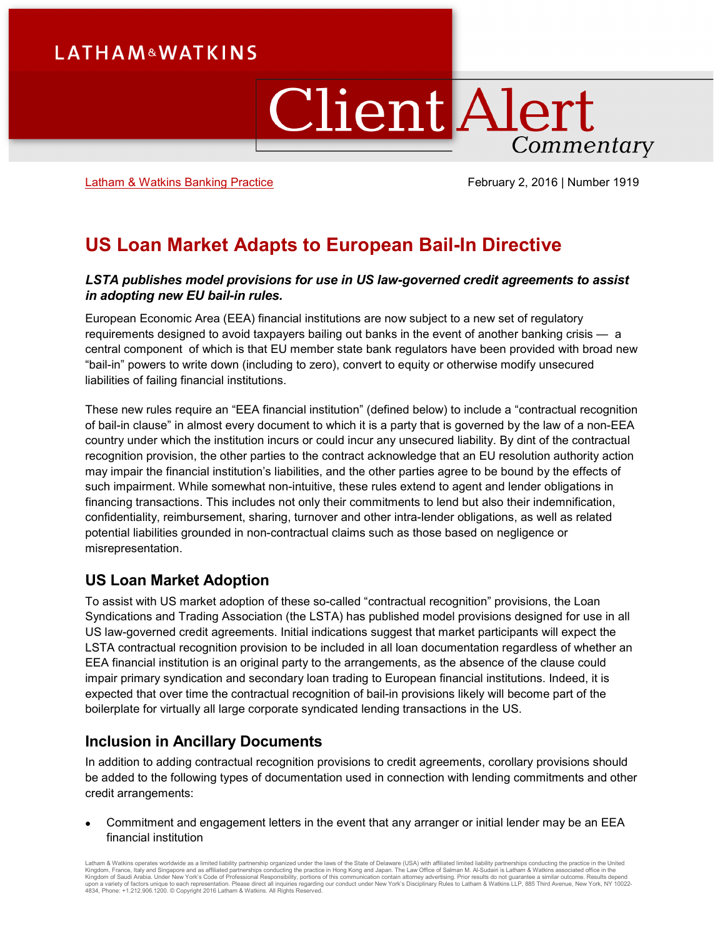# **LATHAM&WATKINS**

# **Client Alert** Commentary

[Latham & Watkins Banking Practice](https://www.lw.com/practices/Banking) **February 2, 2016** | Number 1919

# **US Loan Market Adapts to European Bail-In Directive**

#### *LSTA publishes model provisions for use in US law-governed credit agreements to assist in adopting new EU bail-in rules.*

European Economic Area (EEA) financial institutions are now subject to a new set of regulatory requirements designed to avoid taxpayers bailing out banks in the event of another banking crisis — a central component of which is that EU member state bank regulators have been provided with broad new "bail-in" powers to write down (including to zero), convert to equity or otherwise modify unsecured liabilities of failing financial institutions.

These new rules require an "EEA financial institution" (defined below) to include a "contractual recognition of bail-in clause" in almost every document to which it is a party that is governed by the law of a non-EEA country under which the institution incurs or could incur any unsecured liability. By dint of the contractual recognition provision, the other parties to the contract acknowledge that an EU resolution authority action may impair the financial institution's liabilities, and the other parties agree to be bound by the effects of such impairment. While somewhat non-intuitive, these rules extend to agent and lender obligations in financing transactions. This includes not only their commitments to lend but also their indemnification, confidentiality, reimbursement, sharing, turnover and other intra-lender obligations, as well as related potential liabilities grounded in non-contractual claims such as those based on negligence or misrepresentation.

### **US Loan Market Adoption**

To assist with US market adoption of these so-called "contractual recognition" provisions, the Loan Syndications and Trading Association (the LSTA) has published model provisions designed for use in all US law-governed credit agreements. Initial indications suggest that market participants will expect the LSTA contractual recognition provision to be included in all loan documentation regardless of whether an EEA financial institution is an original party to the arrangements, as the absence of the clause could impair primary syndication and secondary loan trading to European financial institutions. Indeed, it is expected that over time the contractual recognition of bail-in provisions likely will become part of the boilerplate for virtually all large corporate syndicated lending transactions in the US.

### **Inclusion in Ancillary Documents**

In addition to adding contractual recognition provisions to credit agreements, corollary provisions should be added to the following types of documentation used in connection with lending commitments and other credit arrangements:

• Commitment and engagement letters in the event that any arranger or initial lender may be an EEA financial institution

Latham & Watkins operates wordwide as a limited liability partnership organized under the laws of the State of Delaware (USA) with affiliated plimited liability partnerships conducting the practice in the United Limited Li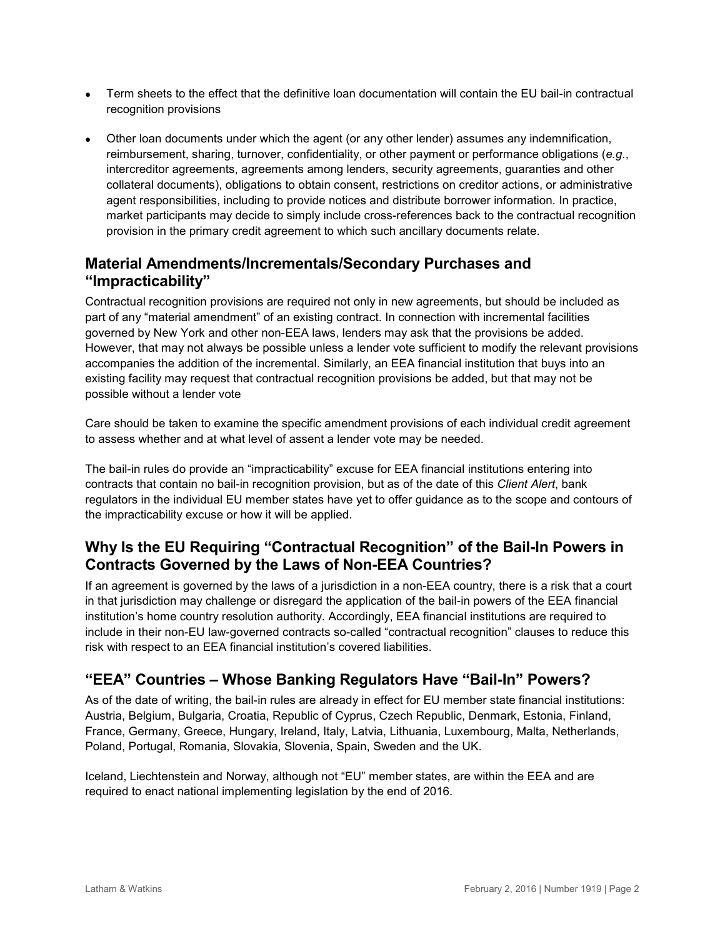- Term sheets to the effect that the definitive loan documentation will contain the EU bail-in contractual recognition provisions
- Other loan documents under which the agent (or any other lender) assumes any indemnification, reimbursement, sharing, turnover, confidentiality, or other payment or performance obligations (*e.g.*, intercreditor agreements, agreements among lenders, security agreements, guaranties and other collateral documents), obligations to obtain consent, restrictions on creditor actions, or administrative agent responsibilities, including to provide notices and distribute borrower information. In practice, market participants may decide to simply include cross-references back to the contractual recognition provision in the primary credit agreement to which such ancillary documents relate.

## **Material Amendments/Incrementals/Secondary Purchases and "Impracticability"**

Contractual recognition provisions are required not only in new agreements, but should be included as part of any "material amendment" of an existing contract. In connection with incremental facilities governed by New York and other non-EEA laws, lenders may ask that the provisions be added. However, that may not always be possible unless a lender vote sufficient to modify the relevant provisions accompanies the addition of the incremental. Similarly, an EEA financial institution that buys into an existing facility may request that contractual recognition provisions be added, but that may not be possible without a lender vote

Care should be taken to examine the specific amendment provisions of each individual credit agreement to assess whether and at what level of assent a lender vote may be needed.

The bail-in rules do provide an "impracticability" excuse for EEA financial institutions entering into contracts that contain no bail-in recognition provision, but as of the date of this *Client Alert*, bank regulators in the individual EU member states have yet to offer guidance as to the scope and contours of the impracticability excuse or how it will be applied.

## **Why Is the EU Requiring "Contractual Recognition" of the Bail-In Powers in Contracts Governed by the Laws of Non-EEA Countries?**

If an agreement is governed by the laws of a jurisdiction in a non-EEA country, there is a risk that a court in that jurisdiction may challenge or disregard the application of the bail-in powers of the EEA financial institution's home country resolution authority. Accordingly, EEA financial institutions are required to include in their non-EU law-governed contracts so-called "contractual recognition" clauses to reduce this risk with respect to an EEA financial institution's covered liabilities.

# **"EEA" Countries – Whose Banking Regulators Have "Bail-In" Powers?**

As of the date of writing, the bail-in rules are already in effect for EU member state financial institutions: Austria, Belgium, Bulgaria, Croatia, Republic of Cyprus, Czech Republic, Denmark, Estonia, Finland, France, Germany, Greece, Hungary, Ireland, Italy, Latvia, Lithuania, Luxembourg, Malta, Netherlands, Poland, Portugal, Romania, Slovakia, Slovenia, Spain, Sweden and the UK.

Iceland, Liechtenstein and Norway, although not "EU" member states, are within the EEA and are required to enact national implementing legislation by the end of 2016.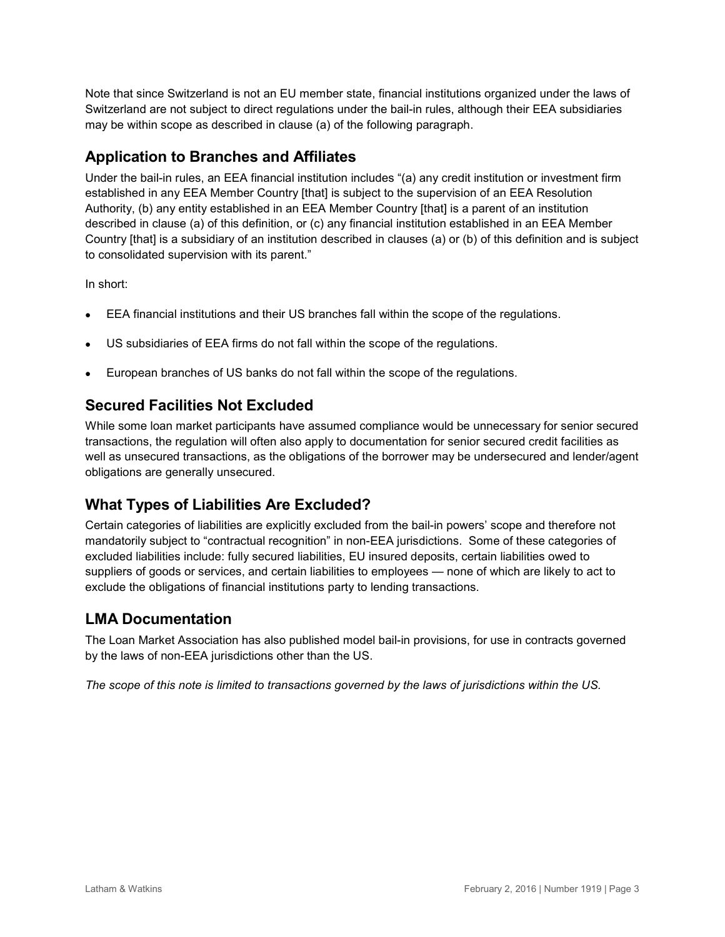Note that since Switzerland is not an EU member state, financial institutions organized under the laws of Switzerland are not subject to direct regulations under the bail-in rules, although their EEA subsidiaries may be within scope as described in clause (a) of the following paragraph.

### **Application to Branches and Affiliates**

Under the bail-in rules, an EEA financial institution includes "(a) any credit institution or investment firm established in any EEA Member Country [that] is subject to the supervision of an EEA Resolution Authority, (b) any entity established in an EEA Member Country [that] is a parent of an institution described in clause (a) of this definition, or (c) any financial institution established in an EEA Member Country [that] is a subsidiary of an institution described in clauses (a) or (b) of this definition and is subject to consolidated supervision with its parent."

In short:

- EEA financial institutions and their US branches fall within the scope of the regulations.
- US subsidiaries of EEA firms do not fall within the scope of the regulations.
- European branches of US banks do not fall within the scope of the regulations.

### **Secured Facilities Not Excluded**

While some loan market participants have assumed compliance would be unnecessary for senior secured transactions, the regulation will often also apply to documentation for senior secured credit facilities as well as unsecured transactions, as the obligations of the borrower may be undersecured and lender/agent obligations are generally unsecured.

### **What Types of Liabilities Are Excluded?**

Certain categories of liabilities are explicitly excluded from the bail-in powers' scope and therefore not mandatorily subject to "contractual recognition" in non-EEA jurisdictions. Some of these categories of excluded liabilities include: fully secured liabilities, EU insured deposits, certain liabilities owed to suppliers of goods or services, and certain liabilities to employees — none of which are likely to act to exclude the obligations of financial institutions party to lending transactions.

# **LMA Documentation**

The Loan Market Association has also published model bail-in provisions, for use in contracts governed by the laws of non-EEA jurisdictions other than the US.

*The scope of this note is limited to transactions governed by the laws of jurisdictions within the US.*